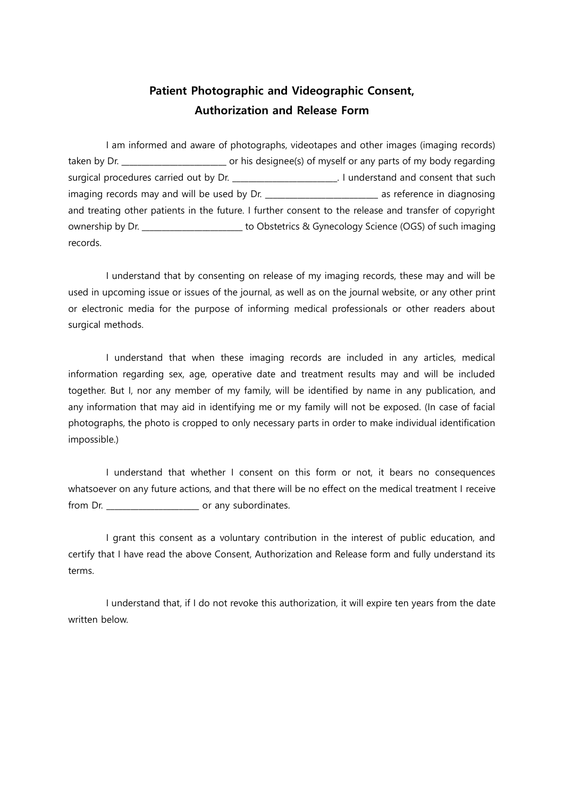## Patient Photographic and Videographic Consent, Authorization and Release Form

I am informed and aware of photographs, videotapes and other images (imaging records) taken by Dr. **Example 20** or his designee(s) of myself or any parts of my body regarding surgical procedures carried out by Dr. \_\_\_\_\_\_\_\_\_\_\_\_\_\_\_\_\_\_\_\_\_\_\_\_\_. I understand and consent that such imaging records may and will be used by Dr. \_\_\_\_\_\_\_\_\_\_\_\_\_\_\_\_\_\_\_\_\_\_\_\_\_\_\_\_\_\_\_ as reference in diagnosing and treating other patients in the future. I further consent to the release and transfer of copyright ownership by Dr. \_\_\_\_\_\_\_\_\_\_\_\_\_\_\_\_\_\_\_\_\_\_\_\_\_ to Obstetrics & Gynecology Science (OGS) of such imaging records.

I understand that by consenting on release of my imaging records, these may and will be used in upcoming issue or issues of the journal, as well as on the journal website, or any other print or electronic media for the purpose of informing medical professionals or other readers about surgical methods.

I understand that when these imaging records are included in any articles, medical information regarding sex, age, operative date and treatment results may and will be included together. But I, nor any member of my family, will be identified by name in any publication, and any information that may aid in identifying me or my family will not be exposed. (In case of facial photographs, the photo is cropped to only necessary parts in order to make individual identification impossible.)

I understand that whether I consent on this form or not, it bears no consequences whatsoever on any future actions, and that there will be no effect on the medical treatment I receive from Dr. \_\_\_\_\_\_\_\_\_\_\_\_\_\_\_\_\_\_\_\_\_\_\_ or any subordinates.

I grant this consent as a voluntary contribution in the interest of public education, and certify that I have read the above Consent, Authorization and Release form and fully understand its terms.

I understand that, if I do not revoke this authorization, it will expire ten years from the date written below.